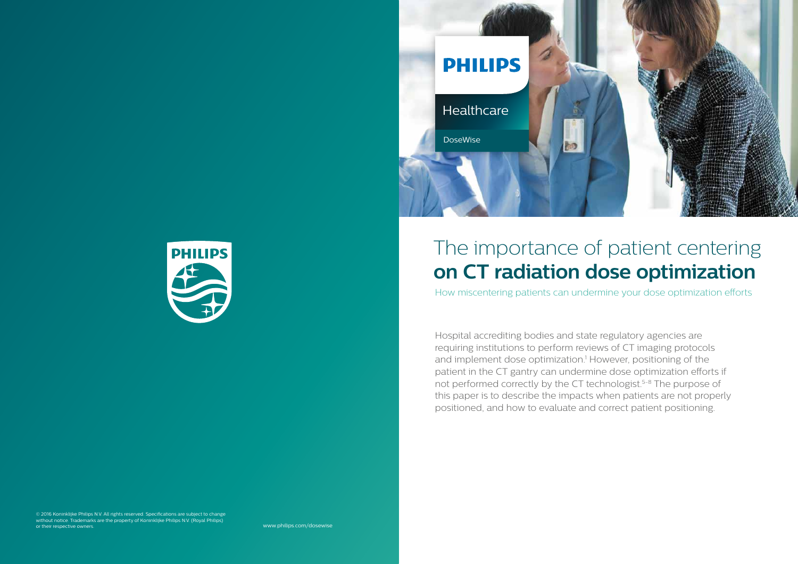



Hospital accrediting bodies and state regulatory agencies are requiring institutions to perform reviews of CT imaging protocols and implement dose optimization.<sup>1</sup> However, positioning of the patient in the CT gantry can undermine dose optimization efforts if not performed correctly by the CT technologist.<sup>5-8</sup> The purpose of this paper is to describe the impacts when patients are not properly positioned, and how to evaluate and correct patient positioning.

# The importance of patient centering **on CT radiation dose optimization**

How miscentering patients can undermine your dose optimization efforts

www.philips.com/dosewise

© 2016 Koninklijke Philips N.V. All rights reserved. Specifications are subject to change without notice. Trademarks are the property of Koninklijke Philips N.V. (Royal Philips) or their respective owners.